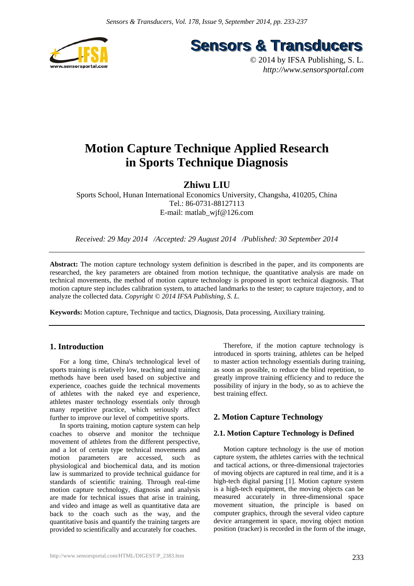

**Sensors & Transducers** 

© 2014 by IFSA Publishing, S. L. *http://www.sensorsportal.com*

# **Motion Capture Technique Applied Research in Sports Technique Diagnosis**

# **Zhiwu LIU**

Sports School, Hunan International Economics University, Changsha, 410205, China Tel.: 86-0731-88127113 E-mail: matlab\_wjf@126.com

*Received: 29 May 2014 /Accepted: 29 August 2014 /Published: 30 September 2014* 

**Abstract:** The motion capture technology system definition is described in the paper, and its components are researched, the key parameters are obtained from motion technique, the quantitative analysis are made on technical movements, the method of motion capture technology is proposed in sport technical diagnosis. That motion capture step includes calibration system, to attached landmarks to the tester; to capture trajectory, and to analyze the collected data. *Copyright © 2014 IFSA Publishing, S. L.*

**Keywords:** Motion capture, Technique and tactics, Diagnosis, Data processing, Auxiliary training.

# **1. Introduction**

For a long time, China's technological level of sports training is relatively low, teaching and training methods have been used based on subjective and experience, coaches guide the technical movements of athletes with the naked eye and experience, athletes master technology essentials only through many repetitive practice, which seriously affect further to improve our level of competitive sports.

In sports training, motion capture system can help coaches to observe and monitor the technique movement of athletes from the different perspective, and a lot of certain type technical movements and motion parameters are accessed, such as physiological and biochemical data, and its motion law is summarized to provide technical guidance for standards of scientific training. Through real-time motion capture technology, diagnosis and analysis are made for technical issues that arise in training, and video and image as well as quantitative data are back to the coach such as the way, and the quantitative basis and quantify the training targets are provided to scientifically and accurately for coaches.

Therefore, if the motion capture technology is introduced in sports training, athletes can be helped to master action technology essentials during training, as soon as possible, to reduce the blind repetition, to greatly improve training efficiency and to reduce the possibility of injury in the body, so as to achieve the best training effect.

# **2. Motion Capture Technology**

#### **2.1. Motion Capture Technology is Defined**

Motion capture technology is the use of motion capture system, the athletes carries with the technical and tactical actions, or three-dimensional trajectories of moving objects are captured in real time, and it is a high-tech digital parsing [1]. Motion capture system is a high-tech equipment, the moving objects can be measured accurately in three-dimensional space movement situation, the principle is based on computer graphics, through the several video capture device arrangement in space, moving object motion position (tracker) is recorded in the form of the image,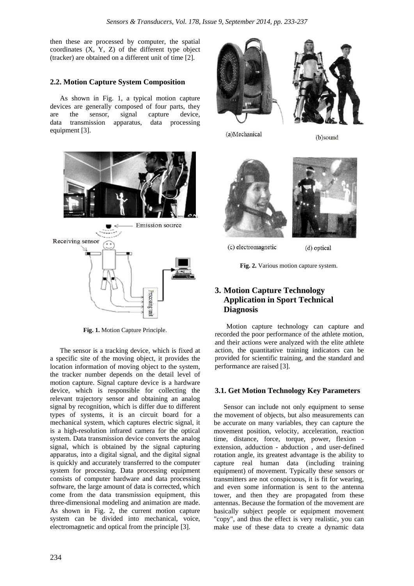then these are processed by computer, the spatial coordinates (X, Y, Z) of the different type object (tracker) are obtained on a different unit of time [2].

### **2.2. Motion Capture System Composition**

As shown in Fig. 1, a typical motion capture devices are generally composed of four parts, they are the sensor, signal capture device, data transmission apparatus, data processing equipment [3].



**Fig. 1.** Motion Capture Principle.

The sensor is a tracking device, which is fixed at a specific site of the moving object, it provides the location information of moving object to the system, the tracker number depends on the detail level of motion capture. Signal capture device is a hardware device, which is responsible for collecting the relevant trajectory sensor and obtaining an analog signal by recognition, which is differ due to different types of systems, it is an circuit board for a mechanical system, which captures electric signal, it is a high-resolution infrared camera for the optical system. Data transmission device converts the analog signal, which is obtained by the signal capturing apparatus, into a digital signal, and the digital signal is quickly and accurately transferred to the computer system for processing. Data processing equipment consists of computer hardware and data processing software, the large amount of data is corrected, which come from the data transmission equipment, this three-dimensional modeling and animation are made. As shown in Fig. 2, the current motion capture system can be divided into mechanical, voice, electromagnetic and optical from the principle [3].





(a)Mechanical

(b)sound



(c) electromagnetic

(d) optical

**Fig. 2.** Various motion capture system.

# **3. Motion Capture Technology Application in Sport Technical Diagnosis**

Motion capture technology can capture and recorded the poor performance of the athlete motion, and their actions were analyzed with the elite athlete action, the quantitative training indicators can be provided for scientific training, and the standard and performance are raised [3].

#### **3.1. Get Motion Technology Key Parameters**

Sensor can include not only equipment to sense the movement of objects, but also measurements can be accurate on many variables, they can capture the movement position, velocity, acceleration, reaction time, distance, force, torque, power, flexion extension, adduction - abduction , and user-defined rotation angle, its greatest advantage is the ability to capture real human data (including training equipment) of movement. Typically these sensors or transmitters are not conspicuous, it is fit for wearing, and even some information is sent to the antenna tower, and then they are propagated from these antennas. Because the formation of the movement are basically subject people or equipment movement "copy", and thus the effect is very realistic, you can make use of these data to create a dynamic data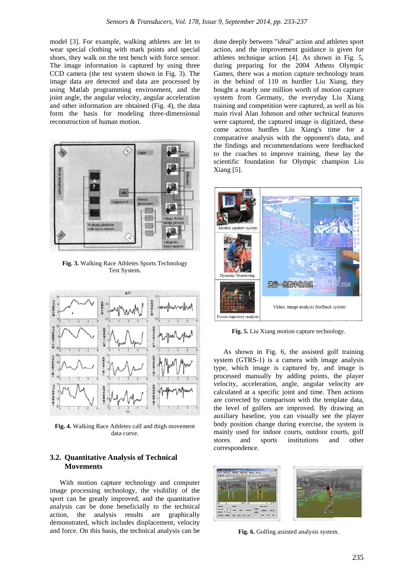model [3]. For example, walking athletes are let to wear special clothing with mark points and special shoes, they walk on the test bench with force sensor. The image information is captured by using three CCD camera (the test system shown in Fig. 3). The image data are detected and data are processed by using Matlab programming environment, and the joint angle, the angular velocity, angular acceleration and other information are obtained (Fig. 4), the data form the basis for modeling three-dimensional reconstruction of human motion.



**Fig. 3.** Walking Race Athletes Sports Technology Test System.



**Fig. 4.** Walking Race Athletes calf and thigh movement data curve.

#### **3.2. Quantitative Analysis of Technical Movements**

With motion capture technology and computer image processing technology, the visibility of the sport can be greatly improved, and the quantitative analysis can be done beneficially to the technical action, the analysis results are graphically demonstrated, which includes displacement, velocity and force. On this basis, the technical analysis can be done deeply between "ideal" action and athletes sport action, and the improvement guidance is given for athletes technique action [4]. As shown in Fig. 5, during preparing for the 2004 Athens Olympic Games, there was a motion capture technology team in the behind of 110 m hurdler Liu Xiang, they bought a nearly one million worth of motion capture system from Germany, the everyday Liu Xiang training and competition were captured, as well as his main rival Alan Johnson and other technical features were captured, the captured image is digitized, these come across hurdles Liu Xiang's time for a comparative analysis with the opponent's data, and the findings and recommendations were feedbacked to the coaches to improve training, these lay the scientific foundation for Olympic champion Liu Xiang [5].



**Fig. 5.** Liu Xiang motion capture technology.

As shown in Fig. 6, the assisted golf training system (GTRS-1) is a camera with image analysis type, which image is captured by, and image is processed manually by adding points, the player velocity, acceleration, angle, angular velocity are calculated at a specific joint and time. Then actions are corrected by comparison with the template data, the level of golfers are improved. By drawing an auxiliary baseline, you can visually see the player body position change during exercise, the system is mainly used for indoor courts, outdoor courts, golf stores and sports institutions and other correspondence.



**Fig. 6.** Golfing assisted analysis system.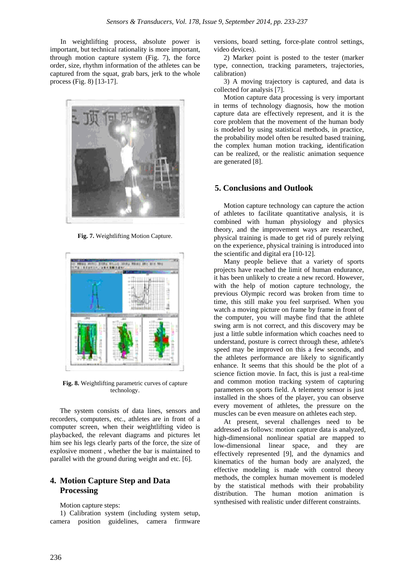In weightlifting process, absolute power is important, but technical rationality is more important, through motion capture system (Fig. 7), the force order, size, rhythm information of the athletes can be captured from the squat, grab bars, jerk to the whole process (Fig. 8) [13-17].



**Fig. 7.** Weightlifting Motion Capture.



**Fig. 8.** Weightlifting parametric curves of capture technology.

The system consists of data lines, sensors and recorders, computers, etc., athletes are in front of a computer screen, when their weightlifting video is playbacked, the relevant diagrams and pictures let him see his legs clearly parts of the force, the size of explosive moment , whether the bar is maintained to parallel with the ground during weight and etc. [6].

# **4. Motion Capture Step and Data Processing**

#### Motion capture steps:

1) Calibration system (including system setup, camera position guidelines, camera firmware versions, board setting, force-plate control settings, video devices).

2) Marker point is posted to the tester (marker type, connection, tracking parameters, trajectories, calibration)

3) A moving trajectory is captured, and data is collected for analysis [7].

Motion capture data processing is very important in terms of technology diagnosis, how the motion capture data are effectively represent, and it is the core problem that the movement of the human body is modeled by using statistical methods, in practice, the probability model often be resulted based training, the complex human motion tracking, identification can be realized, or the realistic animation sequence are generated [8].

#### **5. Conclusions and Outlook**

Motion capture technology can capture the action of athletes to facilitate quantitative analysis, it is combined with human physiology and physics theory, and the improvement ways are researched, physical training is made to get rid of purely relying on the experience, physical training is introduced into the scientific and digital era [10-12].

Many people believe that a variety of sports projects have reached the limit of human endurance, it has been unlikely to create a new record. However, with the help of motion capture technology, the previous Olympic record was broken from time to time, this still make you feel surprised. When you watch a moving picture on frame by frame in front of the computer, you will maybe find that the athlete swing arm is not correct, and this discovery may be just a little subtle information which coaches need to understand, posture is correct through these, athlete's speed may be improved on this a few seconds, and the athletes performance are likely to significantly enhance. It seems that this should be the plot of a science fiction movie. In fact, this is just a real-time and common motion tracking system of capturing parameters on sports field. A telemetry sensor is just installed in the shoes of the player, you can observe every movement of athletes, the pressure on the muscles can be even measure on athletes each step.

At present, several challenges need to be addressed as follows: motion capture data is analyzed, high-dimensional nonlinear spatial are mapped to low-dimensional linear space, and they are effectively represented [9], and the dynamics and kinematics of the human body are analyzed, the effective modeling is made with control theory methods, the complex human movement is modeled by the statistical methods with their probability distribution. The human motion animation is synthesised with realistic under different constraints.